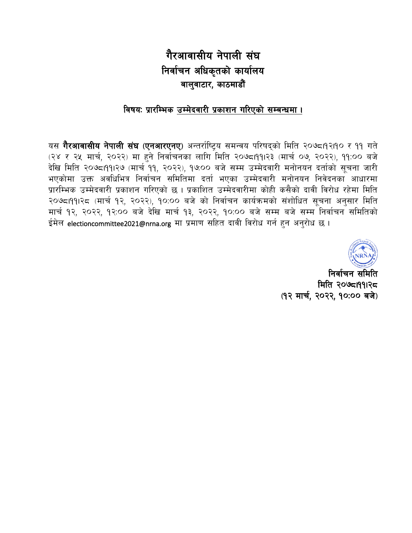# गैरआवासीय नेपाली संघ निर्वाचन अधिकृतको कार्यालय बालुवाटार, काठमाडौँ

#### विषयः प्रारम्भिक उम्मेदवारी प्रकाशन गरिएको सम्बन्धमा ।

यस गैरआवासीय नेपाली संघ (एनआरएनए) अन्तर्राष्ट्रिय समन्वय परिषद्को मिति २०७८19२19० र ११ गते (२४ र २५ मार्च, २०२२) मा हुने निर्वाचनका लागि मिति २०७८19१1२३ (मार्च ०७, २०२२), ११:०० बजे देखि मिति २०७८1991२७ (मार्च ११, २०२२), १७:०० बजे सम्म उम्मेदवारी मनोनयन दर्ताको सूचना जारी भएकोमा उक्त अवधिभित्र निर्वाचन समितिमा दर्ता भएका उम्मेदवारी मनोनयन निवेदनका आधारमा प्रारम्भिक उम्मेदवारी प्रकाशन गरिएको छ । प्रकाशित उम्मेदवारीमा कोही कसैको दावी विरोध रहेमा मिति २०७८/११।२८ (मार्च १२, २०२२), १०:०० बजे को निर्वाचन कार्यक्रमको संशोधित सूचना अनुसार मिति मार्च १२, २०२२, १२:०० बजे देखि मार्च १३, २०२२, १०:०० बजे सम्म बजे सम्म निर्वाचन समितिको ईमेल electioncommittee2021@nrna.org मा प्रमाण सहित दावी विरोध गर्न हुन अनुरोध छ।

निर्वाचन समिति मिति २०७८1991२८ (१२ मार्च, २०२२, १०:०० बजे)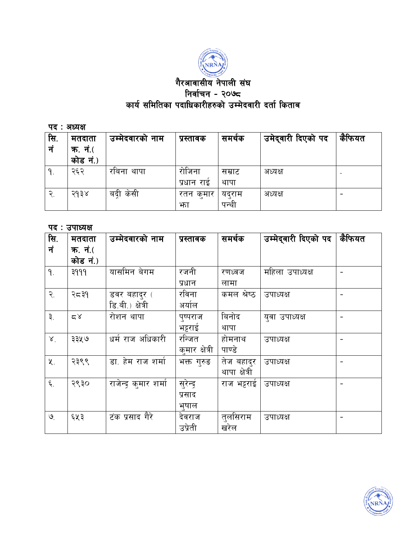

#### गैरआवासीय नेपाली संघ निर्वाचन - २०७८ कार्य समितिका पदाधिकारीहरुको उम्मेदवारी दर्ता किताब

पद: अध्यक्ष

| सि.<br>नं | मतदाता<br>क. नं.(<br>ानं.,<br>कोड | उम्मेदवारका नाम | प्रस्तावक            | समर्थक          | उमेदवारी दिएको पद | कैफियत |
|-----------|-----------------------------------|-----------------|----------------------|-----------------|-------------------|--------|
| 9.        | २६२                               | रोबना थापा      | रोजिना<br>प्रधान राई | सम्राट<br>थापा  | अध्यक्ष           |        |
|           | २१३४                              | केसी<br>बदी     | रतन कुमार<br>भन्न    | यदुराम<br>पन्थी | अध्यक्ष           |        |

#### पद: उपाध्यक्ष

| सि.                       | मतदाता   | उम्मेदवारको नाम       | प्रस्तावक      | समर्थक        | उम्मेदवारी दिएको पद | कैफियत |
|---------------------------|----------|-----------------------|----------------|---------------|---------------------|--------|
| नं                        | क. नं.(  |                       |                |               |                     |        |
|                           | कोड नं.) |                       |                |               |                     |        |
| ۹.                        | ३१११     | यासमिन बेगम           | रजनी           | रणध्वज        | र्माहला उपाध्यक्ष   |        |
|                           |          |                       | प्रधान         | लामा          |                     |        |
| $\widetilde{\mathcal{R}}$ | २८३१     | डवर बहाद्र (          | रविना          | कमल श्रेष्ठ   | उपाध्यक्ष           |        |
|                           |          | डि.बी.) क्षेत्री      | अर्याल         |               |                     |        |
| ३.                        | 55       | रोशन थापा             | पुष्पराज       | बिनोद         | युवा उपाध्यक्ष      |        |
|                           |          |                       | भट्टराई        | थापा          |                     |        |
| $\lambda^{\prime}$        | ३३५७     | धर्म राज अधिकारी      | रन्जित         | होमनाथ        | उपाध्यक्ष           |        |
|                           |          |                       | क्मार क्षेत्री | पाण्डे        |                     |        |
| $x_{1}$                   | २३९९     | डा. हेम राज शर्मा     | भक्त गुरुङ     | तेज बहादुर    | उपाध्यक्ष           |        |
|                           |          |                       |                | थापा क्षेत्री |                     |        |
| ६.                        | २९३०     | राजेन्द्र कुमार शर्मा | सुरेन्द्र      | राज भट्टराई   | उपाध्यक्ष           |        |
|                           |          |                       | प्रसाद         |               |                     |        |
|                           |          |                       | भुषाल          |               |                     |        |
| $\mathcal{O}_{\cdot}$     | ६५३      | टंक प्रसाद गैरे       | देवराज         | तुलसिराम      | उपाध्यक्ष           |        |
|                           |          |                       | उप्रेती        | खरेल          |                     |        |

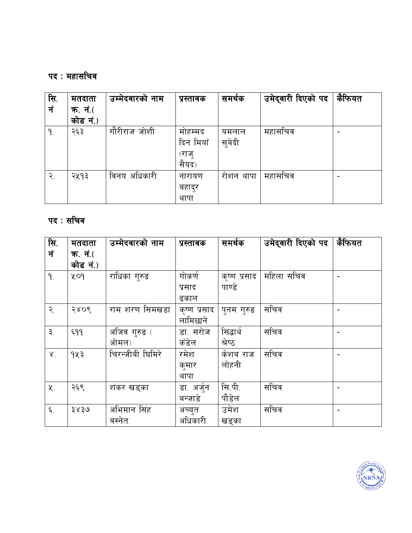#### पद : महासचिव

| सि.                       | मतदाता   | उम्मेदवारको नाम | प्रस्तावक      | समथक      | उमेद्वारी दिएको पद | कैफियत |
|---------------------------|----------|-----------------|----------------|-----------|--------------------|--------|
| नं                        | क. नं.(  |                 |                |           |                    |        |
|                           | कोड नं.) |                 |                |           |                    |        |
| 9.                        | २६३      | गौरीराज जोशी    | मोहम्मद        | यमलाल     | महासचिव            |        |
|                           |          |                 | दिन मियाँ      | सुबेदी    |                    |        |
|                           |          |                 | (राजु<br>सैयद) |           |                    |        |
| $\widetilde{\mathcal{R}}$ | २५१३     | विनय अधिकारी    | नारायण         | रोशन थापा | महासचिव            |        |
|                           |          |                 | बहादुर         |           |                    |        |
|                           |          |                 | थापा           |           |                    |        |

## पद : सच<mark>ि</mark>व

| सि.                       | मतदाता   | उम्मेदवारको नाम  | प्रस्तावक    | समर्थक       | उमेदवारी दिएको पद | कैफियत |
|---------------------------|----------|------------------|--------------|--------------|-------------------|--------|
| नं                        | क. नं.(  |                  |              |              |                   |        |
|                           | कोड नं.) |                  |              |              |                   |        |
| ۹.                        | yoq      | राधिका गुरुङ     | गोकर्ण       | कृष्ण प्रसाद | महिला सचिव        |        |
|                           |          |                  | प्रसाद       | पाण्डे       |                   |        |
|                           |          |                  | ढकाल         |              |                   |        |
| $\widetilde{\mathcal{R}}$ | २४०९     | राम शरण सिमखडा   | कृष्ण प्रसाद | पुनम गुरुड   | सचिव              |        |
|                           |          |                  | लामिछाने     |              |                   |        |
| ३.                        | 599      | र्आजव गुरुङ (    | डा. सरोज     | सिद्धार्थ    | सचिव              |        |
|                           |          | ओमल)             | कँडेल        | श्रेष्ठ      |                   |        |
| $X^{\dagger}$             | 943      | चिरन्जीबी धिमिरे | रमेश         | केशब राज     | सचिव              |        |
|                           |          |                  | कुमार        | लोहनी        |                   |        |
|                           |          |                  | थापा         |              |                   |        |
| 义.                        | २६९      | शंकर खड्का       | डा. अर्जुन   | सि.पी.       | सचिव              |        |
|                           |          |                  | बन्जाडे      | पौडेल        |                   |        |
| $\xi$ .                   | ३४३७     | अभिमान सिंह      | अच्युत       | उमेश         | सचिव              |        |
|                           |          | बस्नेत           | अधिकारी      | खड्का        |                   |        |

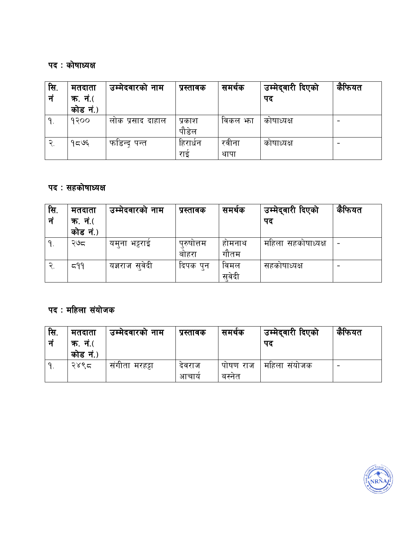#### पद : कोषाध्यक्ष

| सि.<br>न | मतदाता<br>क. नं.( | उम्मेदवारका नाम  | प्रस्तावक | समर्थक   | उम्मेद्वारी दिएको<br>पद | कैफियत |
|----------|-------------------|------------------|-----------|----------|-------------------------|--------|
|          | नं.)<br>कोड       |                  |           |          |                         |        |
| ٩.       | 9300              | लोक प्रसाद दाहाल | प्रकाश    | विकल भंग | कोषाध्यक्ष              |        |
|          |                   |                  | पौडेल     |          |                         |        |
|          | १८७६              | फोडन्दू पन्त     | हिराधन    | रवीना    | कोषाध्यक्ष              |        |
|          |                   |                  | राइ       | थापा     |                         |        |

#### पदः सहकोषाध्यक्ष

| सि. | मतदाता   | उम्मेदवारको नाम  | प्रस्तावक  | समर्थक | उम्मेद्वारी दिएको  | कैफियत |
|-----|----------|------------------|------------|--------|--------------------|--------|
| न   | क. नं.(  |                  |            |        | पद                 |        |
|     | कोड नं.) |                  |            |        |                    |        |
| ι.  | २७८      | यम्ना भट्टराई    | पुरुषोत्तम | होमनाथ | महिला सहकोषाध्यक्ष |        |
|     |          |                  | बोहरा      | गौतम   |                    |        |
|     | 599      | ' यज्ञराज सुवेदी | दिपक पुन   | विमल   | सहकोषाध्यक्ष       |        |
|     |          |                  |            | सवेदी  |                    |        |

## पद : महिला संयोजक

| सि. | मतदाता   | उम्मेदवारको नाम | प्रस्तावक | समथक     | ंउम्मेदवारी दिएको | कैफियत |
|-----|----------|-----------------|-----------|----------|-------------------|--------|
|     | _क. नं.( |                 |           |          | पद                |        |
|     | कोड नं.) |                 |           |          |                   |        |
|     | २४९८     | संगीता मरहट्टा  | दवराज     | पोषण राज | महिला सयोजक       |        |
|     |          |                 | आचाय      | बस्नत    |                   |        |

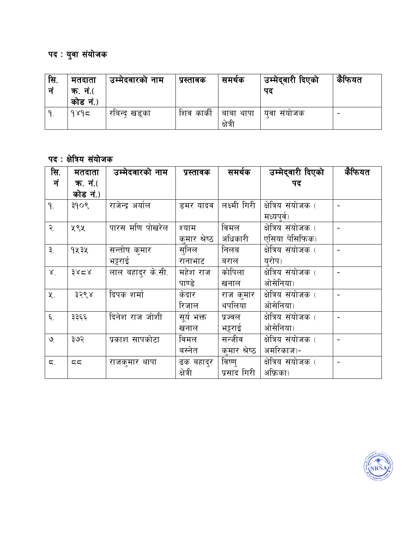# पद : युवा संयोजक

| ेसि. | मतदाता<br><u>क. नं.(</u> | उम्मेदवारको नाम | प्रस्तावक | समथक      | उम्मेद्वारी दिएको<br>पद | कैफियत |
|------|--------------------------|-----------------|-----------|-----------|-------------------------|--------|
|      | कोड नं.)                 |                 |           |           |                         |        |
|      | 9895                     | राबन्द खड्का    | शिव काकी  | बाबा थापा | यवा सयाजक               |        |
|      |                          |                 |           | क्षेत्री  |                         |        |

# पद : क्षेत्रिय संयोजक

| सि.                       | मतदाता     | उम्मेदवारको नाम  | प्रस्तावक     | समर्थक        | उम्मेद्वारी दिएको  | कैफियत |
|---------------------------|------------|------------------|---------------|---------------|--------------------|--------|
| नं                        | क. नं. $($ |                  |               |               | पद                 |        |
|                           | कोड नं.)   |                  |               |               |                    |        |
| ۹.                        | ३१०९       | राजेन्द्र अर्याल | डमर यादव      | लक्ष्मी गिरी  | क्षेत्रिय संयोजक ( |        |
|                           |            |                  |               |               | मध्यपूर्व)         |        |
| $\widetilde{\mathcal{R}}$ | ५९५        | पारस मणि पोखरेल  | श्याम         | विमल          | क्षेत्रिय संयोजक ( |        |
|                           |            |                  | कुमार श्रेष्ठ | अधिकारी       | एसिया पेसिफिक)     |        |
| ३.                        | १५३५       | सन्तोष क्मार     | स्निल         | निलब          | क्षेत्रिय संयोजक ( |        |
|                           |            | भट्टराई          | रानाभाट       | बराल          | युरोप)             |        |
| X <sub>1</sub>            | 8858       | लाल बहादर के.सी. | महेश राज      | कोपिला        | क्षेत्रिय संयोजक ( |        |
|                           |            |                  | पाण्डे        | खनाल          | ओसेनिया)           |        |
| $x_{1}$                   | ३२९४       | दिपक शर्मा       | केदार         | राज कुमार     | क्षेत्रिय संयोजक ( |        |
|                           |            |                  | रिजाल         | थपलिया        | ओसेनिया)           |        |
| ६.                        | ३३६६       | दिनेश राज जोशी   | सूर्य भक्त    | प्रज्वल       | क्षेत्रिय संयोजक ( |        |
|                           |            |                  | खनाल          | भट्टराई       | ओसेनिया)           |        |
| $\mathcal{O}_{\cdot}$     | ३७२        | प्रकाश सापकोटा   | विमल          | सन्जीव        | क्षेत्रिय संयोजक ( |        |
|                           |            |                  | बस्नेत        | कुमार श्रेष्ठ | अमरिकाज)-          |        |
| $\overline{\varsigma}$ .  | 55         | राजकुमार थापा    | ढक बहादुर     | विष्ण्        | क्षेत्रिय संयोजक ( |        |
|                           |            |                  | क्षेत्री      | प्रसाद गिरी   | अफ्रिका)           |        |

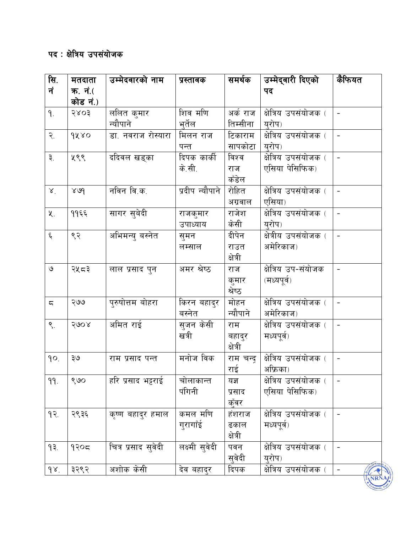#### पद: क्षेत्रिय उपसंयोजक

| सि.                    | मतदाता   | उम्मेदवारको नाम     | प्रस्तावक       | समर्थक    | उम्मेद्वारी दिएको    | कैफियत                   |
|------------------------|----------|---------------------|-----------------|-----------|----------------------|--------------------------|
| नं                     | क. नं.(  |                     |                 |           | पद                   |                          |
|                        | कोड नं.) |                     |                 |           |                      |                          |
| 9.                     | २४०३     | ललित कुमार          | शिव मणि         | अर्क राज  | क्षेत्रिय उपसंयोजक ( |                          |
|                        |          | न्यौपाने            | भूर्तेल         | तिम्सीना  | युरोप)               |                          |
| २.                     | 9280     | डा. नवराज रोस्यारा  | मिलन राज        | टिकाराम   | क्षेत्रिय उपसंयोजक ( |                          |
|                        |          |                     | पन्त            | सापकोटा   | युरोप)               |                          |
| ३.                     | ५९९      | ददिवल खड्का         | दिपक कार्की     | विश्व     | क्षेत्रिय उपसंयोजक ( |                          |
|                        |          |                     | के.सी.          | राज       | एसिया पेसिफिक)       |                          |
|                        |          |                     |                 | कँडेल     |                      |                          |
| $X^{\dagger}$          | 809      | नविन वि.क.          | प्रदीप न्यौपाने | रोहित     | क्षेत्रिय उपसंयोजक ( |                          |
|                        |          |                     |                 | अग्रवाल   | एसिया)               |                          |
| $x_{1}$                | ११६६     | सागर सुबेदी         | राजकुमार        | राजेश     | क्षेत्रिय उपसंयोजक ( |                          |
|                        |          |                     | उपाध्याय        | केसी      | युरोप)               |                          |
| $\xi$                  | ९२       | अभिमन्य् बस्नेत     | सुमन            | दीपेन     | क्षेत्रीय उपसंयोजक ( |                          |
|                        |          |                     | लम्साल          | राउत      | अमेरिकाज)            |                          |
|                        |          |                     |                 | क्षेत्री  |                      |                          |
| $\mathcal{O}$          | २५८३     | लाल प्रसाद पुन      | अमर श्रेष्ठ     | राज       | क्षेत्रिय उप-संयोजक  | $\overline{\phantom{a}}$ |
|                        |          |                     |                 | कुमार     | (मध्यपूर्व)          |                          |
|                        |          |                     |                 | श्रेष्ठ   |                      |                          |
| $\overline{\varsigma}$ | २७७      | प्रुषोत्तम बोहरा    | किरन बहादुर     | मोहन      | क्षेत्रिय उपसंयोजक ( |                          |
|                        |          |                     | बस्नेत          | न्यौपाने  | अमेरिकाज)            |                          |
| $\mathcal{S}$ .        | २७०४     | अमित राई            | सुजन केसी       | राम       | क्षेत्रिय उपसंयोजक ( |                          |
|                        |          |                     | खत्री           | बहादुर    | मध्यपूर्व)           |                          |
|                        |          |                     |                 | क्षेत्री  |                      |                          |
| 90.                    | ३७       | राम प्रसाद पन्त     | मनोज विक        | राम चन्द् | क्षेत्रिय उपसंयोजक ( | $\equiv$                 |
|                        |          |                     |                 | राई       | अफ्रिका)             |                          |
| 99.                    | ९७०      | हरि प्रसाद भट्टराई  | चोलाकान्त       | यज्ञ      | क्षेत्रिय उपसंयोजक ( |                          |
|                        |          |                     | पंगिनी          | प्रसाद    | एसिया पेसिफिक)       |                          |
|                        |          |                     |                 | क्ँवर     |                      |                          |
| 9                      | २९३६     | कृष्ण बहादुर हमाल   | कमल मणि         | हंशराज    | क्षेत्रिय उपसंयोजक ( |                          |
|                        |          |                     | गुरागाँई        | ढकाल      | मध्यपूर्व)           |                          |
|                        |          |                     |                 | क्षेत्री  |                      |                          |
| 93.                    | 9305     | चित्र प्रसाद सुवेदी | लक्ष्मी सुवेदी  | पवन       | क्षेत्रिय उपसंयोजक ( |                          |
|                        |          |                     |                 | सुवेदी    | युरोप)               |                          |
| 98.                    | ३२९२     | अशोक केसी           | देव बहादुर      | दिपक      | क्षेत्रिय उपसंयोजक । |                          |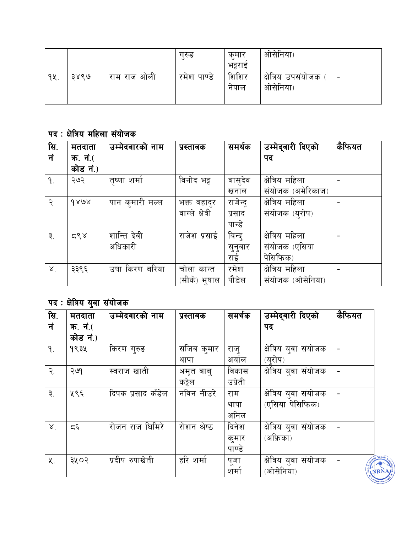|     |      |             | गरुङ        | कमार<br>भट्टराई | ओसेनिया)                       |                          |
|-----|------|-------------|-------------|-----------------|--------------------------------|--------------------------|
| १५. | ३४९७ | राम राज ओली | रमेश पाण्डे | शिशिर<br>नेपाल  | क्षेत्रिय उपसंयोजक<br>ओसेनिया) | $\overline{\phantom{0}}$ |

## पद : क्षेत्रिय महिला संयोजक

| सि.           | मतदाता   | उम्मेदवारको नाम | प्रस्तावक       | समर्थक         | उम्मेदवारी दिएको  | कैफियत |
|---------------|----------|-----------------|-----------------|----------------|-------------------|--------|
| नं            | क. नं.(  |                 |                 |                | पद                |        |
|               | कोड नं.) |                 |                 |                |                   |        |
| 9.            | २७२      | तुष्णा शर्मा    | विनोद भट्ट      | बासुदेव        | क्षेत्रिय महिला   |        |
|               |          |                 |                 | खनाल           | संयोजक (अमेरिकाज) |        |
| २             | 9808     | पान क्मारी मल्ल | भक्त बहादुर     | राजेन्द        | क्षेत्रिय महिला   |        |
|               |          |                 | वाग्ले क्षेत्री | प्रसाद         | संयोजक (युरोप)    |        |
|               |          |                 |                 | पान्डे         |                   |        |
| ३.            | 58       | शान्ति देवी     | राजेश प्रसाइ    | बिन्द्         | क्षेत्रिय महिला   |        |
|               |          | अधिकारी         |                 |                | संयोजक (एसिया     |        |
|               |          |                 |                 | सुनुवार<br>राई | पेसिफिक)          |        |
| $X^{\dagger}$ | ३३९६     | उषा किरण बरिया  | चोला कान्त      | रमेश           | क्षेत्रिय महिला   |        |
|               |          |                 | (सीके) भुषाल    | पौडेल          | संयोजक (ओसेनिया)  |        |

## पद : क्षेत्रिय युवा संयोजक

| सि.                       | मतदाता   | उम्मेदवारको नाम   | प्रस्तावक    | समर्थक  | उम्मेद्वारी दिएको     | कैफियत       |
|---------------------------|----------|-------------------|--------------|---------|-----------------------|--------------|
| नं                        | क. नं.(  |                   |              |         | पद                    |              |
|                           | कोड नं.) |                   |              |         |                       |              |
| ٩.                        | १९३५     | किरण गुरुङ        | संजिव कुमार  | राज्    | क्षेत्रिय युवा संयोजक |              |
|                           |          |                   | थापा         | अयोल    | (युरोप)               |              |
| $\widetilde{\mathcal{R}}$ | २७१      | स्वराज खाती       | अमृत बाब्    | विकास   | क्षेत्रिय युवा संयोजक |              |
|                           |          |                   | कट्टेल       | उप्रेती |                       |              |
| ३.                        | ५९६      | दिपक प्रसाद कँडेल | नविन नीउरे   | राम     | क्षेत्रिय युवा संयोजक |              |
|                           |          |                   |              | थापा    | (एसिया पेसिफिक)       |              |
|                           |          |                   |              | अनिल    |                       |              |
| $X^{\dagger}$             | 55       | रोजन राज घिमिरे   | रोशन श्रेष्ठ | दिनेश   | क्षेत्रिय युवा संयोजक |              |
|                           |          |                   |              | कुमार   | (अफ्रिका)             |              |
|                           |          |                   |              | पाण्डे  |                       |              |
| 义.                        | ३५०२     | प्रदीप रुपाखेती   | हरि शर्मा    | पूजा    | क्षेत्रिय युवा संयोजक |              |
|                           |          |                   |              | शमो     | (ओसेनिया)             | Pun Resident |